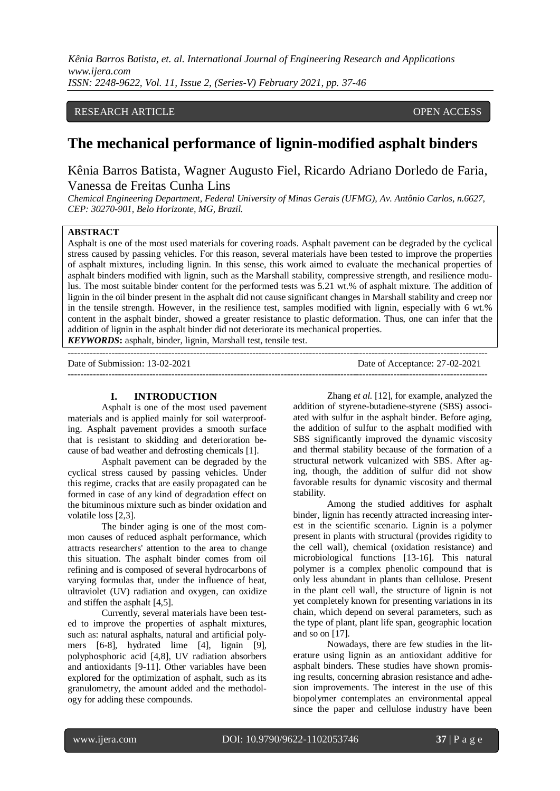# RESEARCH ARTICLE **CONTRACT ARTICLE** AND THE SECOND ACCESS OPEN ACCESS OF A LIMIT OF A LIMIT OF A LIMIT OF A LIMIT OF A LIMIT OF A LIMIT OF A LIMIT OF A LIMIT OF A LIMIT OF A LIMIT OF A LIMIT OF A LIMIT OF A LIMIT OF A LIMI

# **The mechanical performance of lignin-modified asphalt binders**

Kênia Barros Batista, Wagner Augusto Fiel, Ricardo Adriano Dorledo de Faria, Vanessa de Freitas Cunha Lins

*Chemical Engineering Department, Federal University of Minas Gerais (UFMG), Av. Antônio Carlos, n.6627, CEP: 30270-901, Belo Horizonte, MG, Brazil.*

#### **ABSTRACT**

Asphalt is one of the most used materials for covering roads. Asphalt pavement can be degraded by the cyclical stress caused by passing vehicles. For this reason, several materials have been tested to improve the properties of asphalt mixtures, including lignin. In this sense, this work aimed to evaluate the mechanical properties of asphalt binders modified with lignin, such as the Marshall stability, compressive strength, and resilience modulus. The most suitable binder content for the performed tests was 5.21 wt.% of asphalt mixture. The addition of lignin in the oil binder present in the asphalt did not cause significant changes in Marshall stability and creep nor in the tensile strength. However, in the resilience test, samples modified with lignin, especially with 6 wt.% content in the asphalt binder, showed a greater resistance to plastic deformation. Thus, one can infer that the addition of lignin in the asphalt binder did not deteriorate its mechanical properties. *KEYWORDS***:** asphalt, binder, lignin, Marshall test, tensile test.

-------------------------------------------------------------------------------------------------------------------------------------- Date of Submission: 13-02-2021 Date of Acceptance: 27-02-2021 --------------------------------------------------------------------------------------------------------------------------------------

#### **I. INTRODUCTION**

Asphalt is one of the most used pavement materials and is applied mainly for soil waterproofing. Asphalt pavement provides a smooth surface that is resistant to skidding and deterioration because of bad weather and defrosting chemicals [1].

Asphalt pavement can be degraded by the cyclical stress caused by passing vehicles. Under this regime, cracks that are easily propagated can be formed in case of any kind of degradation effect on the bituminous mixture such as binder oxidation and volatile loss [2,3].

The binder aging is one of the most common causes of reduced asphalt performance, which attracts researchers' attention to the area to change this situation. The asphalt binder comes from oil refining and is composed of several hydrocarbons of varying formulas that, under the influence of heat, ultraviolet (UV) radiation and oxygen, can oxidize and stiffen the asphalt [4,5].

Currently, several materials have been tested to improve the properties of asphalt mixtures, such as: natural asphalts, natural and artificial polymers [6-8], hydrated lime [4], lignin [9], polyphosphoric acid [4,8], UV radiation absorbers and antioxidants [9-11]. Other variables have been explored for the optimization of asphalt, such as its granulometry, the amount added and the methodology for adding these compounds.

Zhang *et al.* [12], for example, analyzed the addition of styrene-butadiene-styrene (SBS) associated with sulfur in the asphalt binder. Before aging, the addition of sulfur to the asphalt modified with SBS significantly improved the dynamic viscosity and thermal stability because of the formation of a structural network vulcanized with SBS. After aging, though, the addition of sulfur did not show favorable results for dynamic viscosity and thermal stability.

Among the studied additives for asphalt binder, lignin has recently attracted increasing interest in the scientific scenario. Lignin is a polymer present in plants with structural (provides rigidity to the cell wall), chemical (oxidation resistance) and microbiological functions [13-16]. This natural polymer is a complex phenolic compound that is only less abundant in plants than cellulose. Present in the plant cell wall, the structure of lignin is not yet completely known for presenting variations in its chain, which depend on several parameters, such as the type of plant, plant life span, geographic location and so on [17].

Nowadays, there are few studies in the literature using lignin as an antioxidant additive for asphalt binders. These studies have shown promising results, concerning abrasion resistance and adhesion improvements. The interest in the use of this biopolymer contemplates an environmental appeal since the paper and cellulose industry have been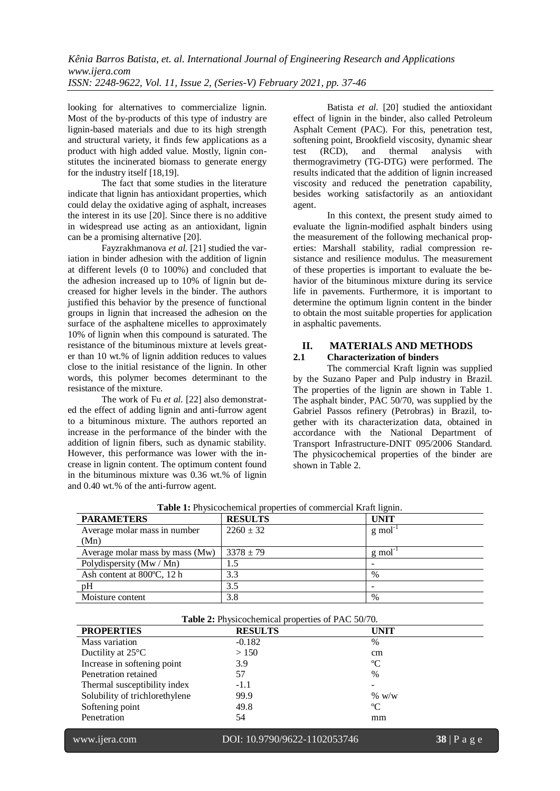looking for alternatives to commercialize lignin. Most of the by-products of this type of industry are lignin-based materials and due to its high strength and structural variety, it finds few applications as a product with high added value. Mostly, lignin constitutes the incinerated biomass to generate energy for the industry itself [18,19].

The fact that some studies in the literature indicate that lignin has antioxidant properties, which could delay the oxidative aging of asphalt, increases the interest in its use [20]. Since there is no additive in widespread use acting as an antioxidant, lignin can be a promising alternative [20].

Fayzrakhmanova *et al.* [21] studied the variation in binder adhesion with the addition of lignin at different levels (0 to 100%) and concluded that the adhesion increased up to 10% of lignin but decreased for higher levels in the binder. The authors justified this behavior by the presence of functional groups in lignin that increased the adhesion on the surface of the asphaltene micelles to approximately 10% of lignin when this compound is saturated. The resistance of the bituminous mixture at levels greater than 10 wt.% of lignin addition reduces to values close to the initial resistance of the lignin. In other words, this polymer becomes determinant to the resistance of the mixture.

The work of Fu *et al.* [22] also demonstrated the effect of adding lignin and anti-furrow agent to a bituminous mixture. The authors reported an increase in the performance of the binder with the addition of lignin fibers, such as dynamic stability. However, this performance was lower with the increase in lignin content. The optimum content found in the bituminous mixture was 0.36 wt.% of lignin and 0.40 wt.% of the anti-furrow agent.

Batista *et al.* [20] studied the antioxidant effect of lignin in the binder, also called Petroleum Asphalt Cement (PAC). For this, penetration test, softening point, Brookfield viscosity, dynamic shear test (RCD), and thermal analysis with thermogravimetry (TG-DTG) were performed. The results indicated that the addition of lignin increased viscosity and reduced the penetration capability, besides working satisfactorily as an antioxidant agent.

In this context, the present study aimed to evaluate the lignin-modified asphalt binders using the measurement of the following mechanical properties: Marshall stability, radial compression resistance and resilience modulus. The measurement of these properties is important to evaluate the behavior of the bituminous mixture during its service life in pavements. Furthermore, it is important to determine the optimum lignin content in the binder to obtain the most suitable properties for application in asphaltic pavements.

# **II. MATERIALS AND METHODS**<br>**2.1** Characterization of binders

# **2.1 Characterization of binders**

The commercial Kraft lignin was supplied by the Suzano Paper and Pulp industry in Brazil. The properties of the lignin are shown in Table 1. The asphalt binder, PAC 50/70, was supplied by the Gabriel Passos refinery (Petrobras) in Brazil, together with its characterization data, obtained in accordance with the National Department of Transport Infrastructure-DNIT 095/2006 Standard. The physicochemical properties of the binder are shown in Table 2.

| where we have constructed properties of commercial material in |                |                          |  |
|----------------------------------------------------------------|----------------|--------------------------|--|
| <b>PARAMETERS</b>                                              | <b>RESULTS</b> | <b>UNIT</b>              |  |
| Average molar mass in number                                   | $2260 \pm 32$  | g mol                    |  |
| (Mn)                                                           |                |                          |  |
| Average molar mass by mass (Mw)                                | $3378 \pm 79$  | g mol                    |  |
| Polydispersity (Mw / Mn)                                       | 1.5            |                          |  |
| Ash content at 800°C, 12 h                                     | 3.3            | $\%$                     |  |
| pH                                                             | 3.5            | $\overline{\phantom{0}}$ |  |
| Moisture content                                               | 3.8            | $\%$                     |  |

**Table 1:** Physicochemical properties of commercial Kraft lignin.

| Table 2: Physicochemical properties of PAC 50/70. |  |
|---------------------------------------------------|--|
|---------------------------------------------------|--|

| <b>PROPERTIES</b>              | <b>RESULTS</b> | <b>UNIT</b>   |  |
|--------------------------------|----------------|---------------|--|
| Mass variation                 | $-0.182$       | $\%$          |  |
| Ductility at $25^{\circ}$ C    | > 150          | cm            |  |
| Increase in softening point    | 3.9            | $\rm ^{o}C$   |  |
| Penetration retained           | 57             | $\frac{0}{0}$ |  |
| Thermal susceptibility index   | $-1.1$         |               |  |
| Solubility of trichlorethylene | 99.9           | % w/w         |  |
| Softening point                | 49.8           | $\rm ^{o}C$   |  |
| Penetration                    | 54             | mm            |  |

www.ijera.com DOI: 10.9790/9622-1102053746 **38** | P a g e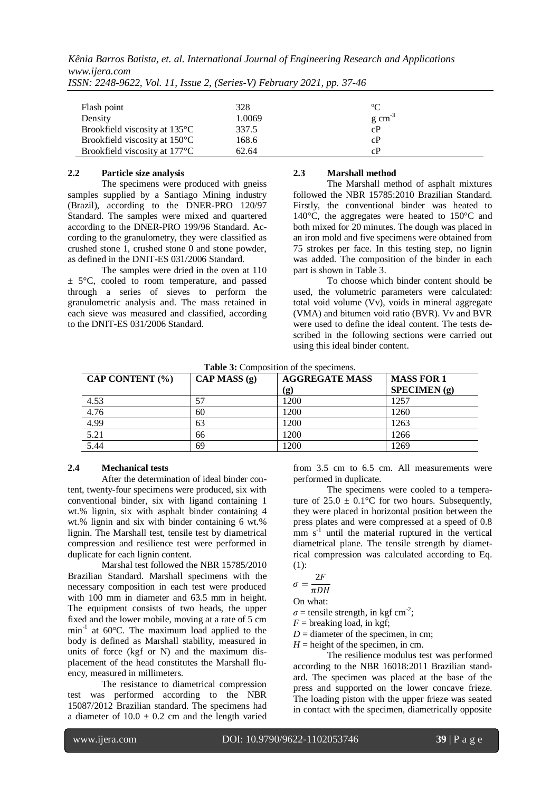*Kênia Barros Batista, et. al. International Journal of Engineering Research and Applications www.ijera.com*

| Flash point                                | 328    | $\rm ^{o}C$         |  |
|--------------------------------------------|--------|---------------------|--|
| Density                                    | 1.0069 | $g \text{ cm}^{-3}$ |  |
| Brookfield viscosity at 135°C              | 337.5  | cP                  |  |
| Brookfield viscosity at 150°C              | 168.6  | cP                  |  |
| Brookfield viscosity at 177 <sup>°</sup> C | 62.64  | cP                  |  |

*ISSN: 2248-9622, Vol. 11, Issue 2, (Series-V) February 2021, pp. 37-46*

# **2.2 Particle size analysis**

The specimens were produced with gneiss samples supplied by a Santiago Mining industry (Brazil), according to the DNER-PRO 120/97 Standard. The samples were mixed and quartered according to the DNER-PRO 199/96 Standard. According to the granulometry, they were classified as crushed stone 1, crushed stone 0 and stone powder, as defined in the DNIT-ES 031/2006 Standard.

The samples were dried in the oven at 110  $\pm$  5°C, cooled to room temperature, and passed through a series of sieves to perform the granulometric analysis and. The mass retained in each sieve was measured and classified, according to the DNIT-ES 031/2006 Standard.

## **2.3 Marshall method**

The Marshall method of asphalt mixtures followed the NBR 15785:2010 Brazilian Standard. Firstly, the conventional binder was heated to 140°C, the aggregates were heated to 150°C and both mixed for 20 minutes. The dough was placed in an iron mold and five specimens were obtained from 75 strokes per face. In this testing step, no lignin was added. The composition of the binder in each part is shown in Table 3.

To choose which binder content should be used, the volumetric parameters were calculated: total void volume (Vv), voids in mineral aggregate (VMA) and bitumen void ratio (BVR). Vv and BVR were used to define the ideal content. The tests described in the following sections were carried out using this ideal binder content.

**Table 3:** Composition of the specimens.

| CAP CONTENT (%) | CAP MASS (g) | <b>AGGREGATE MASS</b> | <b>MASS FOR 1</b> |
|-----------------|--------------|-----------------------|-------------------|
|                 |              | (g)                   | SPECTMEN(g)       |
| 4.53            | 57           | 1200                  | 1257              |
| 4.76            | 60           | 1200                  | 1260              |
| 4.99            | 63           | 1200                  | 1263              |
| 5.21            | 66           | 1200                  | 1266              |
| 5.44            | 69           | 1200                  | 1269              |

# **2.4 Mechanical tests**

After the determination of ideal binder content, twenty-four specimens were produced, six with conventional binder, six with ligand containing 1 wt.% lignin, six with asphalt binder containing 4 wt.% lignin and six with binder containing 6 wt.% lignin. The Marshall test, tensile test by diametrical compression and resilience test were performed in duplicate for each lignin content.

Marshal test followed the NBR 15785/2010 Brazilian Standard. Marshall specimens with the necessary composition in each test were produced with 100 mm in diameter and 63.5 mm in height. The equipment consists of two heads, the upper fixed and the lower mobile, moving at a rate of 5 cm min<sup>-1</sup> at 60°C. The maximum load applied to the body is defined as Marshall stability, measured in units of force (kgf or N) and the maximum displacement of the head constitutes the Marshall fluency, measured in millimeters.

The resistance to diametrical compression test was performed according to the NBR 15087/2012 Brazilian standard. The specimens had a diameter of  $10.0 \pm 0.2$  cm and the length varied from 3.5 cm to 6.5 cm. All measurements were performed in duplicate.

The specimens were cooled to a temperature of  $25.0 \pm 0.1$ °C for two hours. Subsequently, they were placed in horizontal position between the press plates and were compressed at a speed of 0.8  $\text{mm s}^{-1}$  until the material ruptured in the vertical diametrical plane. The tensile strength by diametrical compression was calculated according to Eq.  $(1):$ 

$$
\begin{array}{c} 2i \\ 2i \end{array}
$$

$$
\sigma = \frac{1}{\pi DH}
$$

On what:

 $\sigma$  = tensile strength, in kgf cm<sup>-2</sup>;

 $F =$  breaking load, in kgf;

 $D =$  diameter of the specimen, in cm;

 $H =$  height of the specimen, in cm. The resilience modulus test was performed according to the NBR 16018:2011 Brazilian standard. The specimen was placed at the base of the press and supported on the lower concave frieze. The loading piston with the upper frieze was seated in contact with the specimen, diametrically opposite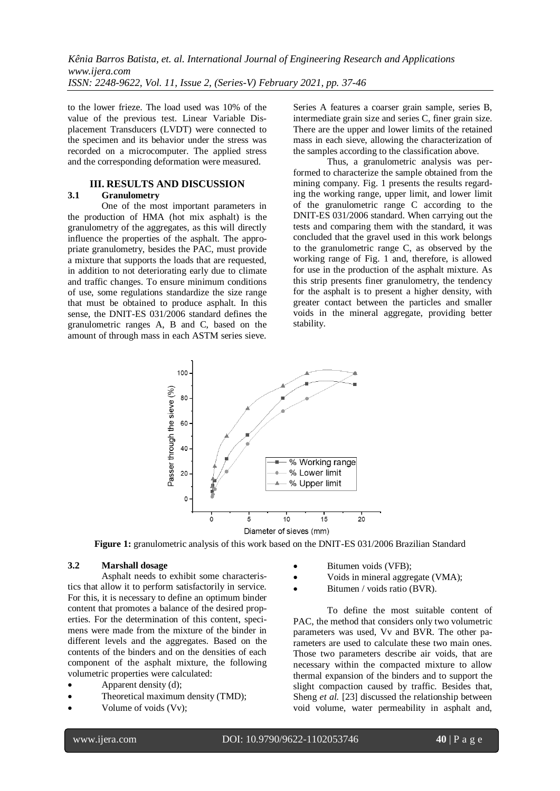to the lower frieze. The load used was 10% of the value of the previous test. Linear Variable Displacement Transducers (LVDT) were connected to the specimen and its behavior under the stress was recorded on a microcomputer. The applied stress and the corresponding deformation were measured.

#### **III. RESULTS AND DISCUSSION 3.1 Granulometry**

One of the most important parameters in the production of HMA (hot mix asphalt) is the granulometry of the aggregates, as this will directly influence the properties of the asphalt. The appropriate granulometry, besides the PAC, must provide a mixture that supports the loads that are requested, in addition to not deteriorating early due to climate and traffic changes. To ensure minimum conditions of use, some regulations standardize the size range that must be obtained to produce asphalt. In this sense, the DNIT-ES 031/2006 standard defines the granulometric ranges A, B and C, based on the amount of through mass in each ASTM series sieve.

Series A features a coarser grain sample, series B, intermediate grain size and series C, finer grain size. There are the upper and lower limits of the retained mass in each sieve, allowing the characterization of the samples according to the classification above.

Thus, a granulometric analysis was performed to characterize the sample obtained from the mining company. Fig. 1 presents the results regarding the working range, upper limit, and lower limit of the granulometric range C according to the DNIT-ES 031/2006 standard. When carrying out the tests and comparing them with the standard, it was concluded that the gravel used in this work belongs to the granulometric range C, as observed by the working range of Fig. 1 and, therefore, is allowed for use in the production of the asphalt mixture. As this strip presents finer granulometry, the tendency for the asphalt is to present a higher density, with greater contact between the particles and smaller voids in the mineral aggregate, providing better stability.



**Figure 1:** granulometric analysis of this work based on the DNIT-ES 031/2006 Brazilian Standard

# **3.2 Marshall dosage**

Asphalt needs to exhibit some characteristics that allow it to perform satisfactorily in service. For this, it is necessary to define an optimum binder content that promotes a balance of the desired properties. For the determination of this content, specimens were made from the mixture of the binder in different levels and the aggregates. Based on the contents of the binders and on the densities of each component of the asphalt mixture, the following volumetric properties were calculated:

- Apparent density (d);
- Theoretical maximum density (TMD);
- Volume of voids (Vv);
- Bitumen voids (VFB);
- Voids in mineral aggregate (VMA);
- Bitumen / voids ratio (BVR).

To define the most suitable content of PAC, the method that considers only two volumetric parameters was used, Vv and BVR. The other parameters are used to calculate these two main ones. Those two parameters describe air voids, that are necessary within the compacted mixture to allow thermal expansion of the binders and to support the slight compaction caused by traffic. Besides that, Sheng *et al.* [23] discussed the relationship between void volume, water permeability in asphalt and,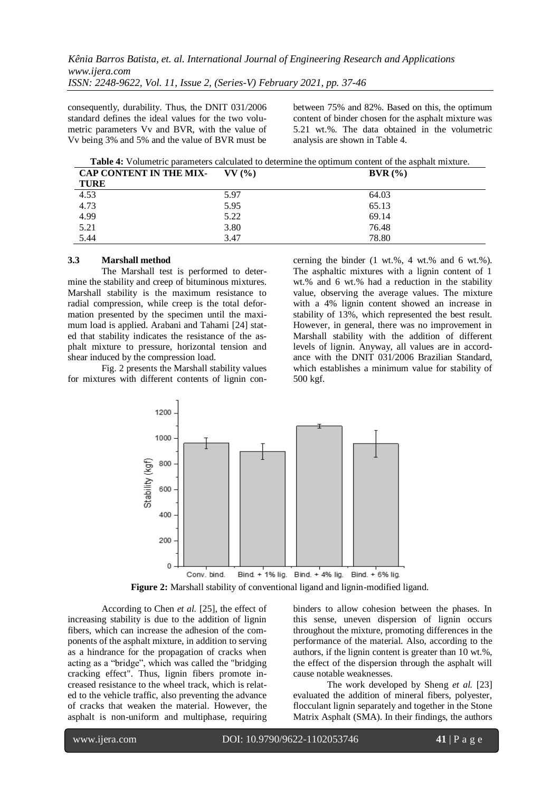consequently, durability. Thus, the DNIT 031/2006 standard defines the ideal values for the two volumetric parameters Vv and BVR, with the value of Vv being 3% and 5% and the value of BVR must be

between 75% and 82%. Based on this, the optimum content of binder chosen for the asphalt mixture was 5.21 wt.%. The data obtained in the volumetric analysis are shown in Table 4.

**Table 4:** Volumetric parameters calculated to determine the optimum content of the asphalt mixture.

| CAP CONTENT IN THE MIX- | $VV($ %) | BVR(%) |
|-------------------------|----------|--------|
| <b>TURE</b>             |          |        |
| 4.53                    | 5.97     | 64.03  |
| 4.73                    | 5.95     | 65.13  |
| 4.99                    | 5.22     | 69.14  |
| 5.21                    | 3.80     | 76.48  |
| 5.44                    | 3.47     | 78.80  |

#### **3.3 Marshall method**

The Marshall test is performed to determine the stability and creep of bituminous mixtures. Marshall stability is the maximum resistance to radial compression, while creep is the total deformation presented by the specimen until the maximum load is applied. Arabani and Tahami [24] stated that stability indicates the resistance of the asphalt mixture to pressure, horizontal tension and shear induced by the compression load.

Fig. 2 presents the Marshall stability values for mixtures with different contents of lignin concerning the binder (1 wt.%, 4 wt.% and 6 wt.%). The asphaltic mixtures with a lignin content of 1 wt.% and 6 wt.% had a reduction in the stability value, observing the average values. The mixture with a 4% lignin content showed an increase in stability of 13%, which represented the best result. However, in general, there was no improvement in Marshall stability with the addition of different levels of lignin. Anyway, all values are in accordance with the DNIT 031/2006 Brazilian Standard, which establishes a minimum value for stability of 500 kgf.



**Figure 2:** Marshall stability of conventional ligand and lignin-modified ligand.

According to Chen *et al.* [25], the effect of increasing stability is due to the addition of lignin fibers, which can increase the adhesion of the components of the asphalt mixture, in addition to serving as a hindrance for the propagation of cracks when acting as a "bridge", which was called the "bridging cracking effect". Thus, lignin fibers promote increased resistance to the wheel track, which is related to the vehicle traffic, also preventing the advance of cracks that weaken the material. However, the asphalt is non-uniform and multiphase, requiring binders to allow cohesion between the phases. In this sense, uneven dispersion of lignin occurs throughout the mixture, promoting differences in the performance of the material. Also, according to the authors, if the lignin content is greater than 10 wt.%, the effect of the dispersion through the asphalt will cause notable weaknesses.

The work developed by Sheng *et al.* [23] evaluated the addition of mineral fibers, polyester, flocculant lignin separately and together in the Stone Matrix Asphalt (SMA). In their findings, the authors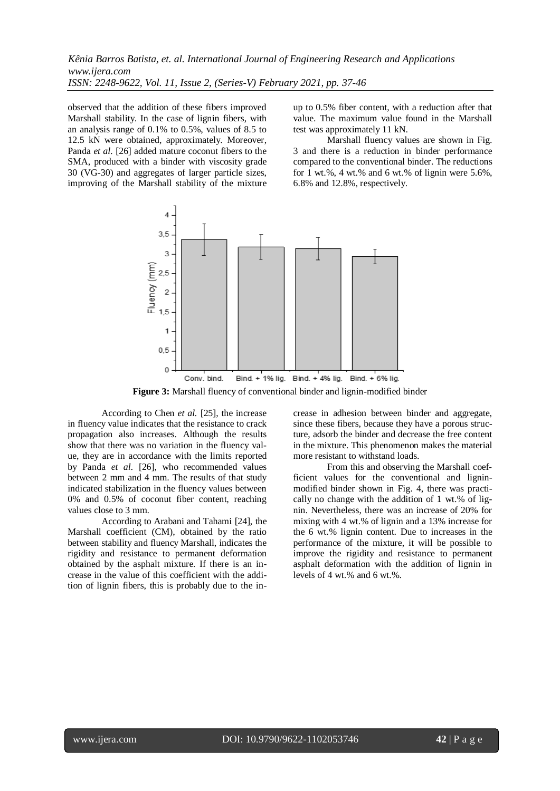observed that the addition of these fibers improved Marshall stability. In the case of lignin fibers, with an analysis range of 0.1% to 0.5%, values of 8.5 to 12.5 kN were obtained, approximately. Moreover, Panda *et al.* [26] added mature coconut fibers to the SMA, produced with a binder with viscosity grade 30 (VG-30) and aggregates of larger particle sizes, improving of the Marshall stability of the mixture up to 0.5% fiber content, with a reduction after that value. The maximum value found in the Marshall test was approximately 11 kN.

Marshall fluency values are shown in Fig. 3 and there is a reduction in binder performance compared to the conventional binder. The reductions for 1 wt.%, 4 wt.% and 6 wt.% of lignin were  $5.6\%$ , 6.8% and 12.8%, respectively.



**Figure 3:** Marshall fluency of conventional binder and lignin-modified binder

According to Chen *et al.* [25], the increase in fluency value indicates that the resistance to crack propagation also increases. Although the results show that there was no variation in the fluency value, they are in accordance with the limits reported by Panda *et al.* [26], who recommended values between 2 mm and 4 mm. The results of that study indicated stabilization in the fluency values between 0% and 0.5% of coconut fiber content, reaching values close to 3 mm.

According to Arabani and Tahami [24], the Marshall coefficient (CM), obtained by the ratio between stability and fluency Marshall, indicates the rigidity and resistance to permanent deformation obtained by the asphalt mixture. If there is an increase in the value of this coefficient with the addition of lignin fibers, this is probably due to the increase in adhesion between binder and aggregate, since these fibers, because they have a porous structure, adsorb the binder and decrease the free content in the mixture. This phenomenon makes the material more resistant to withstand loads.

From this and observing the Marshall coefficient values for the conventional and ligninmodified binder shown in Fig. 4, there was practically no change with the addition of 1 wt.% of lignin. Nevertheless, there was an increase of 20% for mixing with 4 wt.% of lignin and a 13% increase for the 6 wt.% lignin content. Due to increases in the performance of the mixture, it will be possible to improve the rigidity and resistance to permanent asphalt deformation with the addition of lignin in levels of 4 wt.% and 6 wt.%.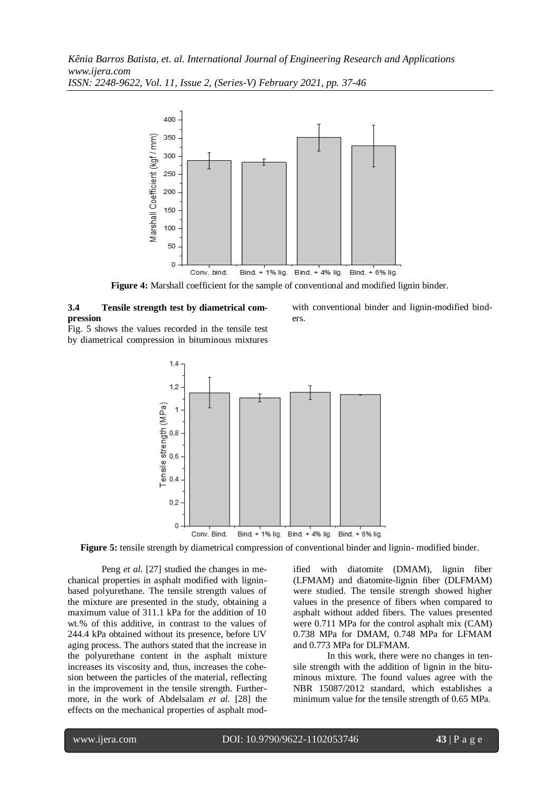

**Figure 4:** Marshall coefficient for the sample of conventional and modified lignin binder.

# **3.4 Tensile strength test by diametrical compression**

Fig. 5 shows the values recorded in the tensile test by diametrical compression in bituminous mixtures



**Figure 5:** tensile strength by diametrical compression of conventional binder and lignin- modified binder.

Peng *et al.* [27] studied the changes in mechanical properties in asphalt modified with ligninbased polyurethane. The tensile strength values of the mixture are presented in the study, obtaining a maximum value of 311.1 kPa for the addition of 10 wt.% of this additive, in contrast to the values of 244.4 kPa obtained without its presence, before UV aging process. The authors stated that the increase in the polyurethane content in the asphalt mixture increases its viscosity and, thus, increases the cohesion between the particles of the material, reflecting in the improvement in the tensile strength. Furthermore, in the work of Abdelsalam *et al.* [28] the effects on the mechanical properties of asphalt modified with diatomite (DMAM), lignin fiber (LFMAM) and diatomite-lignin fiber (DLFMAM) were studied. The tensile strength showed higher values in the presence of fibers when compared to asphalt without added fibers. The values presented were 0.711 MPa for the control asphalt mix (CAM) 0.738 MPa for DMAM, 0.748 MPa for LFMAM and 0.773 MPa for DLFMAM.

In this work, there were no changes in tensile strength with the addition of lignin in the bituminous mixture. The found values agree with the NBR 15087/2012 standard, which establishes a minimum value for the tensile strength of 0.65 MPa.

with conventional binder and lignin-modified binders.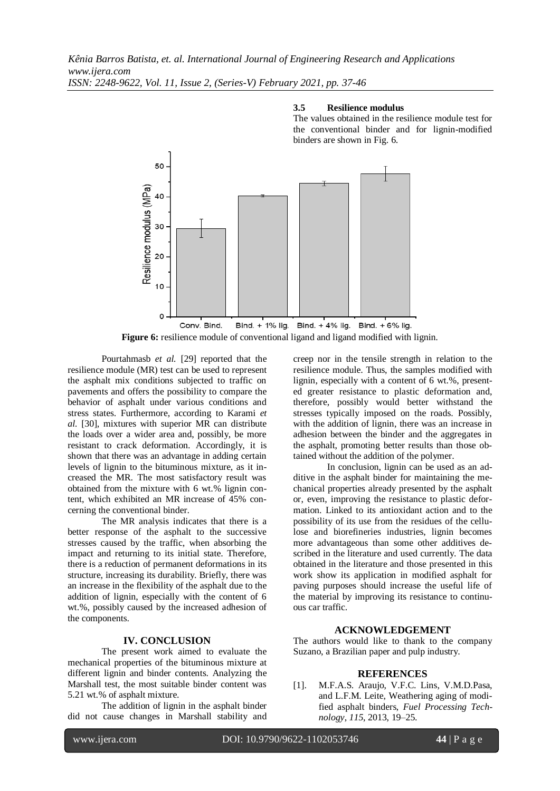#### **3.5 Resilience modulus**

The values obtained in the resilience module test for the conventional binder and for lignin-modified binders are shown in Fig. 6.



**Figure 6:** resilience module of conventional ligand and ligand modified with lignin.

Pourtahmasb *et al.* [29] reported that the resilience module (MR) test can be used to represent the asphalt mix conditions subjected to traffic on pavements and offers the possibility to compare the behavior of asphalt under various conditions and stress states. Furthermore, according to Karami *et al.* [30], mixtures with superior MR can distribute the loads over a wider area and, possibly, be more resistant to crack deformation. Accordingly, it is shown that there was an advantage in adding certain levels of lignin to the bituminous mixture, as it increased the MR. The most satisfactory result was obtained from the mixture with 6 wt.% lignin content, which exhibited an MR increase of 45% concerning the conventional binder.

The MR analysis indicates that there is a better response of the asphalt to the successive stresses caused by the traffic, when absorbing the impact and returning to its initial state. Therefore, there is a reduction of permanent deformations in its structure, increasing its durability. Briefly, there was an increase in the flexibility of the asphalt due to the addition of lignin, especially with the content of 6 wt.%, possibly caused by the increased adhesion of the components.

# **IV. CONCLUSION**

The present work aimed to evaluate the mechanical properties of the bituminous mixture at different lignin and binder contents. Analyzing the Marshall test, the most suitable binder content was 5.21 wt.% of asphalt mixture.

The addition of lignin in the asphalt binder did not cause changes in Marshall stability and creep nor in the tensile strength in relation to the resilience module. Thus, the samples modified with lignin, especially with a content of 6 wt.%, presented greater resistance to plastic deformation and, therefore, possibly would better withstand the stresses typically imposed on the roads. Possibly, with the addition of lignin, there was an increase in adhesion between the binder and the aggregates in the asphalt, promoting better results than those obtained without the addition of the polymer.

In conclusion, lignin can be used as an additive in the asphalt binder for maintaining the mechanical properties already presented by the asphalt or, even, improving the resistance to plastic deformation. Linked to its antioxidant action and to the possibility of its use from the residues of the cellulose and biorefineries industries, lignin becomes more advantageous than some other additives described in the literature and used currently. The data obtained in the literature and those presented in this work show its application in modified asphalt for paving purposes should increase the useful life of the material by improving its resistance to continuous car traffic.

#### **ACKNOWLEDGEMENT**

The authors would like to thank to the company Suzano, a Brazilian paper and pulp industry.

#### **REFERENCES**

[1]. M.F.A.S. Araujo, V.F.C. Lins, V.M.D.Pasa, and L.F.M. Leite, Weathering aging of modified asphalt binders, *Fuel Processing Technology*, *115*, 2013, 19–25.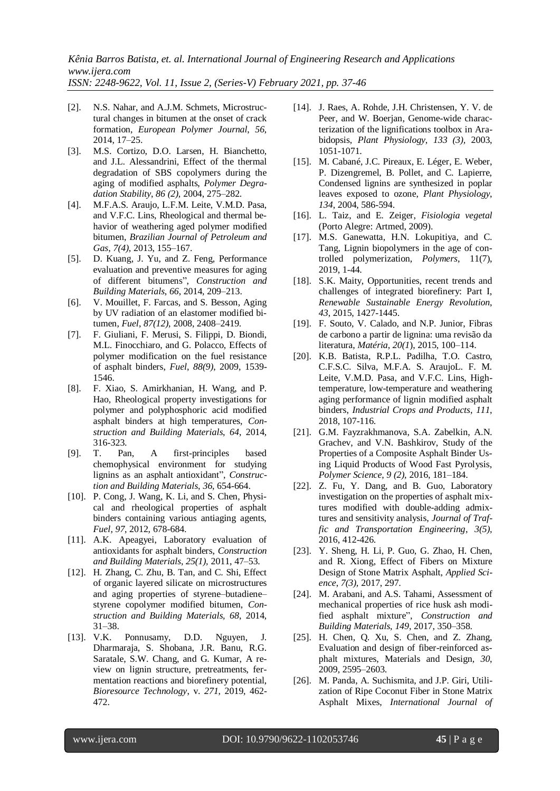*ISSN: 2248-9622, Vol. 11, Issue 2, (Series-V) February 2021, pp. 37-46*

- [2]. N.S. Nahar, and A.J.M. Schmets, Microstructural changes in bitumen at the onset of crack formation, *European Polymer Journal*, *56*, 2014, 17–25.
- [3]. M.S. Cortizo, D.O. Larsen, H. Bianchetto, and J.L. Alessandrini, Effect of the thermal degradation of SBS copolymers during the aging of modified asphalts, *Polymer Degradation Stability*, *86 (2),* 2004, 275–282.
- [4]. M.F.A.S. Araujo, L.F.M. Leite, V.M.D. Pasa, and V.F.C. Lins, Rheological and thermal behavior of weathering aged polymer modified bitumen, *Brazilian Journal of Petroleum and Gas*, *7(4),* 2013, 155–167.
- [5]. D. Kuang, J. Yu, and Z. Feng, Performance evaluation and preventive measures for aging of different bitumens", *Construction and Building Materials*, *66*, 2014, 209–213.
- [6]. V. Mouillet, F. Farcas, and S. Besson, Aging by UV radiation of an elastomer modified bitumen, *Fuel*, *87(12),* 2008, 2408–2419.
- [7]. F. Giuliani, F. Merusi, S. Filippi, D. Biondi, M.L. Finocchiaro, and G. Polacco, Effects of polymer modification on the fuel resistance of asphalt binders, *Fuel*, *88(9)*, 2009, 1539- 1546.
- [8]. F. Xiao, S. Amirkhanian, H. Wang, and P. Hao*,* Rheological property investigations for polymer and polyphosphoric acid modified asphalt binders at high temperatures, *Construction and Building Materials*, *64*, 2014, 316-323.
- [9]. T. Pan, A first-principles based chemophysical environment for studying lignins as an asphalt antioxidant", *Construction and Building Materials*, *36*, 654-664.
- [10]. P. Cong, J. Wang, K. Li, and S. Chen*,* Physical and rheological properties of asphalt binders containing various antiaging agents, *Fuel*, *97*, 2012, 678-684.
- [11]. A.K. Apeagyei, Laboratory evaluation of antioxidants for asphalt binders, *Construction and Building Materials*, *25(1),* 2011, 47–53.
- [12]. H. Zhang, C. Zhu, B. Tan, and C. Shi, Effect of organic layered silicate on microstructures and aging properties of styrene–butadiene– styrene copolymer modified bitumen, *Construction and Building Materials, 68*, 2014, 31–38.
- [13]. V.K. Ponnusamy, D.D. Nguyen, J. Dharmaraja, S. Shobana, J.R. Banu, R.G. Saratale, S.W. Chang, and G. Kumar, A review on lignin structure, pretreatments, fermentation reactions and biorefinery potential, *Bioresource Technology*, v. *271*, 2019, 462- 472.
- [14]. J. Raes, A. Rohde, J.H. Christensen, Y. V. de Peer, and W. Boerjan, Genome-wide characterization of the lignifications toolbox in Arabidopsis, *Plant Physiology*, *133 (3),* 2003, 1051-1071.
- [15]. M. Cabané, J.C. Pireaux, E. Léger, E. Weber, P. Dizengremel, B. Pollet, and C. Lapierre, Condensed lignins are synthesized in poplar leaves exposed to ozone, *Plant Physiology*, *134*, 2004, 586-594.
- [16]. L. Taiz, and E. Zeiger, *Fisiologia vegetal* (Porto Alegre: Artmed, 2009).
- [17]. M.S. Ganewatta, H.N. Lokupitiya, and C. Tang, Lignin biopolymers in the age of controlled polymerization, *Polymers*, 11(7), 2019, 1-44.
- [18]. S.K. Maity, Opportunities, recent trends and challenges of integrated biorefinery: Part I, *Renewable Sustainable Energy Revolution*, *43*, 2015, 1427-1445.
- [19]. F. Souto, V. Calado, and N.P. Junior, Fibras de carbono a partir de lignina: uma revisão da literatura, *Matéria*, *20(1*), 2015, 100–114.
- [20]. K.B. Batista, R.P.L. Padilha, T.O. Castro, C.F.S.C. Silva, M.F.A. S. AraujoL. F. M. Leite, V.M.D. Pasa, and V.F.C. Lins, Hightemperature, low-temperature and weathering aging performance of lignin modified asphalt binders, *Industrial Crops and Products*, *111*, 2018, 107-116.
- [21]. G.M. Fayzrakhmanova, S.A. Zabelkin, A.N. Grachev, and V.N. Bashkirov, Study of the Properties of a Composite Asphalt Binder Using Liquid Products of Wood Fast Pyrolysis, *Polymer Science*, *9 (2),* 2016, 181–184.
- [22]. Z. Fu, Y. Dang, and B. Guo, Laboratory investigation on the properties of asphalt mixtures modified with double-adding admixtures and sensitivity analysis, *Journal of Traffic and Transportation Engineering*, *3(5),* 2016, 412-426.
- [23]. Y. Sheng, H. Li, P. Guo, G. Zhao, H. Chen, and R. Xiong, Effect of Fibers on Mixture Design of Stone Matrix Asphalt, *Applied Science*, *7(3),* 2017, 297.
- [24]. M. Arabani, and A.S. Tahami, Assessment of mechanical properties of rice husk ash modified asphalt mixture", *Construction and Building Materials*, *149*, 2017, 350–358.
- [25]. H. Chen, Q. Xu, S. Chen, and Z. Zhang, Evaluation and design of fiber-reinforced asphalt mixtures, Materials and Design*, 30*, 2009, 2595–2603.
- [26]. M. Panda, A. Suchismita, and J.P. Giri, Utilization of Ripe Coconut Fiber in Stone Matrix Asphalt Mixes, *International Journal of*